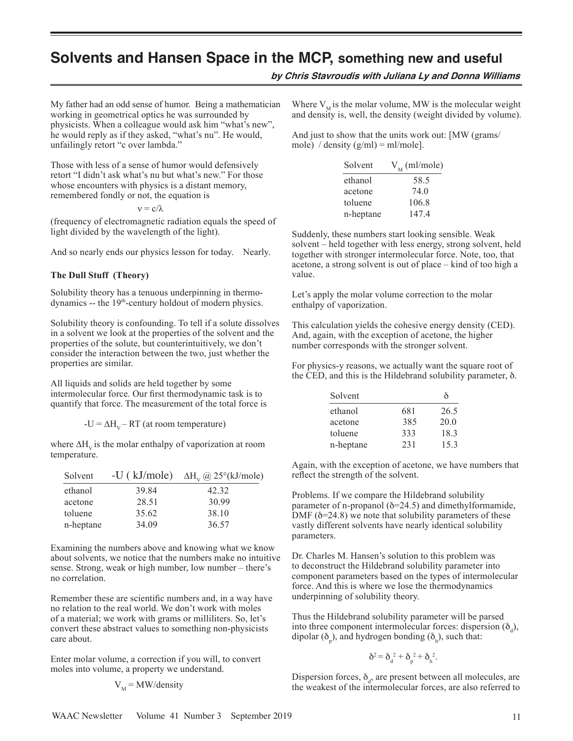**by Chris Stavroudis with Juliana Ly and Donna Williams**

My father had an odd sense of humor. Being a mathematician working in geometrical optics he was surrounded by physicists. When a colleague would ask him "what's new", he would reply as if they asked, "what's nu". He would, unfailingly retort "c over lambda."

Those with less of a sense of humor would defensively retort "I didn't ask what's nu but what's new." For those whose encounters with physics is a distant memory, remembered fondly or not, the equation is

 $ν = c/λ$ 

(frequency of electromagnetic radiation equals the speed of light divided by the wavelength of the light).

And so nearly ends our physics lesson for today. Nearly.

#### **The Dull Stuff (Theory)**

Solubility theory has a tenuous underpinning in thermodynamics -- the 19<sup>th</sup>-century holdout of modern physics.

Solubility theory is confounding. To tell if a solute dissolves in a solvent we look at the properties of the solvent and the properties of the solute, but counterintuitively, we don't consider the interaction between the two, just whether the properties are similar.

All liquids and solids are held together by some intermolecular force. Our first thermodynamic task is to quantify that force. The measurement of the total force is

 $-U = \Delta H_v - RT$  (at room temperature)

where  $\Delta H_{V}$  is the molar enthalpy of vaporization at room temperature.

|       | -U (kJ/mole) $\Delta H_v$ @ 25°(kJ/mole) |
|-------|------------------------------------------|
| 39.84 | 42.32                                    |
| 28.51 | 30.99                                    |
| 35.62 | 38.10                                    |
| 34.09 | 36.57                                    |
|       |                                          |

Examining the numbers above and knowing what we know about solvents, we notice that the numbers make no intuitive sense. Strong, weak or high number, low number – there's no correlation.

Remember these are scientific numbers and, in a way have no relation to the real world. We don't work with moles of a material; we work with grams or milliliters. So, let's convert these abstract values to something non-physicists care about.

Enter molar volume, a correction if you will, to convert moles into volume, a property we understand.

$$
V_M = MW/density
$$

Where  $V_{\text{M}}$  is the molar volume, MW is the molecular weight and density is, well, the density (weight divided by volume).

And just to show that the units work out: [MW (grams/ mole) / density  $(g/ml) = ml/mole$ .

| Solvent   | $V_{\rm M}$ (ml/mole) |
|-----------|-----------------------|
| ethanol   | 58.5                  |
| acetone   | 74.0                  |
| toluene   | 106.8                 |
| n-heptane | 147.4                 |

Suddenly, these numbers start looking sensible. Weak solvent – held together with less energy, strong solvent, held together with stronger intermolecular force. Note, too, that acetone, a strong solvent is out of place – kind of too high a value.

Let's apply the molar volume correction to the molar enthalpy of vaporization.

This calculation yields the cohesive energy density (CED). And, again, with the exception of acetone, the higher number corresponds with the stronger solvent.

For physics-y reasons, we actually want the square root of the CED, and this is the Hildebrand solubility parameter,  $\delta$ .

| Solvent   |     | δ    |
|-----------|-----|------|
| ethanol   | 681 | 26.5 |
| acetone   | 385 | 20.0 |
| toluene   | 333 | 183  |
| n-heptane | 231 | 153  |

Again, with the exception of acetone, we have numbers that reflect the strength of the solvent.

Problems. If we compare the Hildebrand solubility parameter of n-propanol ( $\delta$ =24.5) and dimethylformamide, DMF ( $\delta$ =24.8) we note that solubility parameters of these vastly different solvents have nearly identical solubility parameters.

Dr. Charles M. Hansen's solution to this problem was to deconstruct the Hildebrand solubility parameter into component parameters based on the types of intermolecular force. And this is where we lose the thermodynamics underpinning of solubility theory.

Thus the Hildebrand solubility parameter will be parsed into three component intermolecular forces: dispersion  $(\delta_d)$ , dipolar ( $\delta_p$ ), and hydrogen bonding ( $\delta_h$ ), such that:

$$
\delta^2 = \delta_d^2 + \delta_p^2 + \delta_h^2.
$$

Dispersion forces,  $\delta_d$ , are present between all molecules, are the weakest of the intermolecular forces, are also referred to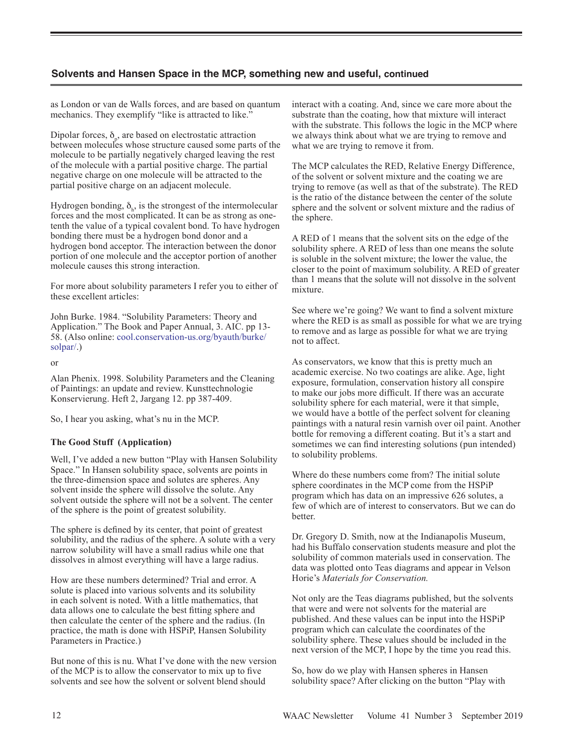as London or van de Walls forces, and are based on quantum mechanics. They exemplify "like is attracted to like."

Dipolar forces,  $\delta_p$ , are based on electrostatic attraction between molecules whose structure caused some parts of the molecule to be partially negatively charged leaving the rest of the molecule with a partial positive charge. The partial negative charge on one molecule will be attracted to the partial positive charge on an adjacent molecule.

Hydrogen bonding,  $\delta_{h}$ , is the strongest of the intermolecular forces and the most complicated. It can be as strong as onetenth the value of a typical covalent bond. To have hydrogen bonding there must be a hydrogen bond donor and a hydrogen bond acceptor. The interaction between the donor portion of one molecule and the acceptor portion of another molecule causes this strong interaction.

For more about solubility parameters I refer you to either of these excellent articles:

John Burke. 1984. "Solubility Parameters: Theory and Application." The Book and Paper Annual, 3. AIC. pp 13- 58. (Also online: cool.conservation-us.org/byauth/burke/ solpar/.)

or

Alan Phenix. 1998. Solubility Parameters and the Cleaning of Paintings: an update and review. Kunsttechnologie Konservierung. Heft 2, Jargang 12. pp 387-409.

So, I hear you asking, what's nu in the MCP.

## **The Good Stuff (Application)**

Well, I've added a new button "Play with Hansen Solubility Space." In Hansen solubility space, solvents are points in the three-dimension space and solutes are spheres. Any solvent inside the sphere will dissolve the solute. Any solvent outside the sphere will not be a solvent. The center of the sphere is the point of greatest solubility.

The sphere is defined by its center, that point of greatest solubility, and the radius of the sphere. A solute with a very narrow solubility will have a small radius while one that dissolves in almost everything will have a large radius.

How are these numbers determined? Trial and error. A solute is placed into various solvents and its solubility in each solvent is noted. With a little mathematics, that data allows one to calculate the best fitting sphere and then calculate the center of the sphere and the radius. (In practice, the math is done with HSPiP, Hansen Solubility Parameters in Practice.)

But none of this is nu. What I've done with the new version of the MCP is to allow the conservator to mix up to five solvents and see how the solvent or solvent blend should

interact with a coating. And, since we care more about the substrate than the coating, how that mixture will interact with the substrate. This follows the logic in the MCP where we always think about what we are trying to remove and what we are trying to remove it from.

The MCP calculates the RED, Relative Energy Difference, of the solvent or solvent mixture and the coating we are trying to remove (as well as that of the substrate). The RED is the ratio of the distance between the center of the solute sphere and the solvent or solvent mixture and the radius of the sphere.

A RED of 1 means that the solvent sits on the edge of the solubility sphere. A RED of less than one means the solute is soluble in the solvent mixture; the lower the value, the closer to the point of maximum solubility. A RED of greater than 1 means that the solute will not dissolve in the solvent mixture.

See where we're going? We want to find a solvent mixture where the RED is as small as possible for what we are trying to remove and as large as possible for what we are trying not to affect.

As conservators, we know that this is pretty much an academic exercise. No two coatings are alike. Age, light exposure, formulation, conservation history all conspire to make our jobs more difficult. If there was an accurate solubility sphere for each material, were it that simple, we would have a bottle of the perfect solvent for cleaning paintings with a natural resin varnish over oil paint. Another bottle for removing a different coating. But it's a start and sometimes we can find interesting solutions (pun intended) to solubility problems.

Where do these numbers come from? The initial solute sphere coordinates in the MCP come from the HSPiP program which has data on an impressive 626 solutes, a few of which are of interest to conservators. But we can do **better** 

Dr. Gregory D. Smith, now at the Indianapolis Museum, had his Buffalo conservation students measure and plot the solubility of common materials used in conservation. The data was plotted onto Teas diagrams and appear in Velson Horie's *Materials for Conservation.* 

Not only are the Teas diagrams published, but the solvents that were and were not solvents for the material are published. And these values can be input into the HSPiP program which can calculate the coordinates of the solubility sphere. These values should be included in the next version of the MCP, I hope by the time you read this.

So, how do we play with Hansen spheres in Hansen solubility space? After clicking on the button "Play with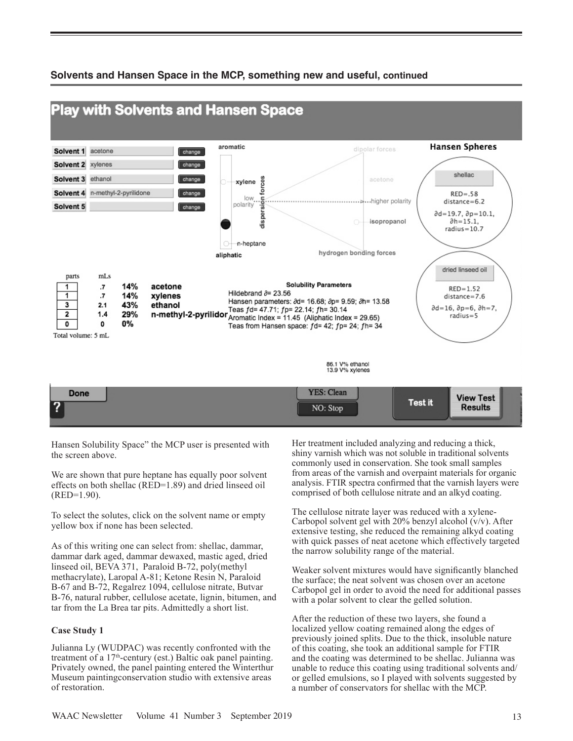

Hansen Solubility Space" the MCP user is presented with the screen above.

We are shown that pure heptane has equally poor solvent effects on both shellac (RED=1.89) and dried linseed oil (RED=1.90).

To select the solutes, click on the solvent name or empty yellow box if none has been selected.

As of this writing one can select from: shellac, dammar, dammar dark aged, dammar dewaxed, mastic aged, dried linseed oil, BEVA 371, Paraloid B-72, poly(methyl methacrylate), Laropal A-81; Ketone Resin N, Paraloid B-67 and B-72, Regalrez 1094, cellulose nitrate, Butvar B-76, natural rubber, cellulose acetate, lignin, bitumen, and tar from the La Brea tar pits. Admittedly a short list.

## **Case Study 1**

Julianna Ly (WUDPAC) was recently confronted with the treatment of a 17th-century (est.) Baltic oak panel painting. Privately owned, the panel painting entered the Winterthur Museum paintingconservation studio with extensive areas of restoration.

Her treatment included analyzing and reducing a thick, shiny varnish which was not soluble in traditional solvents commonly used in conservation. She took small samples from areas of the varnish and overpaint materials for organic analysis. FTIR spectra confirmed that the varnish layers were comprised of both cellulose nitrate and an alkyd coating.

The cellulose nitrate layer was reduced with a xylene-Carbopol solvent gel with 20% benzyl alcohol (v/v). After extensive testing, she reduced the remaining alkyd coating with quick passes of neat acetone which effectively targeted the narrow solubility range of the material.

Weaker solvent mixtures would have significantly blanched the surface; the neat solvent was chosen over an acetone Carbopol gel in order to avoid the need for additional passes with a polar solvent to clear the gelled solution.

After the reduction of these two layers, she found a localized yellow coating remained along the edges of previously joined splits. Due to the thick, insoluble nature of this coating, she took an additional sample for FTIR and the coating was determined to be shellac. Julianna was unable to reduce this coating using traditional solvents and/ or gelled emulsions, so I played with solvents suggested by a number of conservators for shellac with the MCP.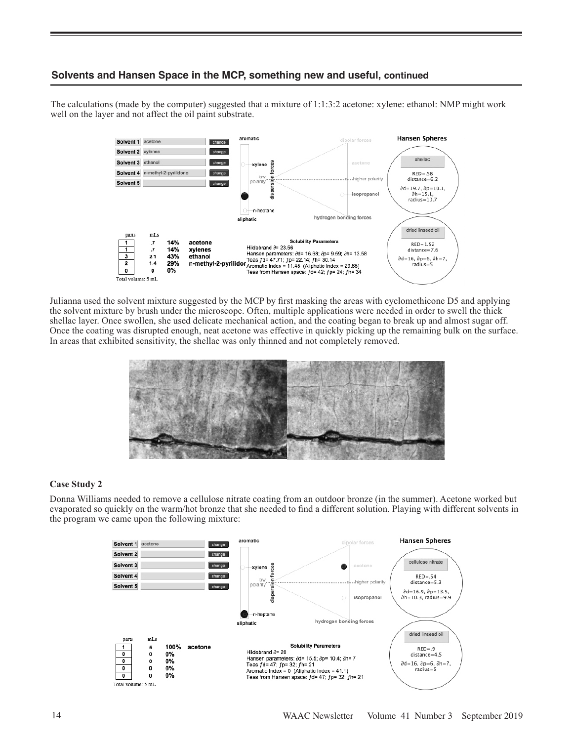The calculations (made by the computer) suggested that a mixture of 1:1:3:2 acetone: xylene: ethanol: NMP might work well on the layer and not affect the oil paint substrate.



Julianna used the solvent mixture suggested by the MCP by first masking the areas with cyclomethicone D5 and applying the solvent mixture by brush under the microscope. Often, multiple applications were needed in order to swell the thick shellac layer. Once swollen, she used delicate mechanical action, and the coating began to break up and almost sugar off. Once the coating was disrupted enough, neat acetone was effective in quickly picking up the remaining bulk on the surface. In areas that exhibited sensitivity, the shellac was only thinned and not completely removed.

![](_page_3_Picture_4.jpeg)

## **Case Study 2**

Donna Williams needed to remove a cellulose nitrate coating from an outdoor bronze (in the summer). Acetone worked but evaporated so quickly on the warm/hot bronze that she needed to find a different solution. Playing with different solvents in the program we came upon the following mixture:

![](_page_3_Figure_7.jpeg)